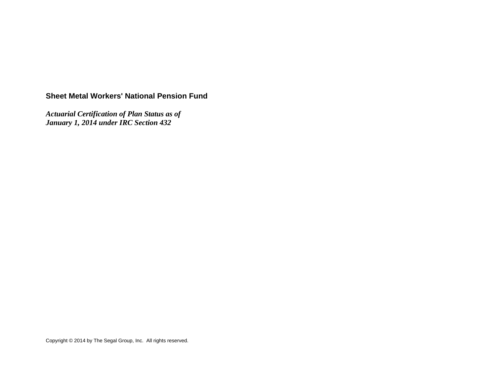# **Sheet Metal Workers' National Pension Fund**

*Actuarial Certification of Plan Status as of January 1, 2014 under IRC Section 432* 

Copyright © 2014 by The Segal Group, Inc. All rights reserved.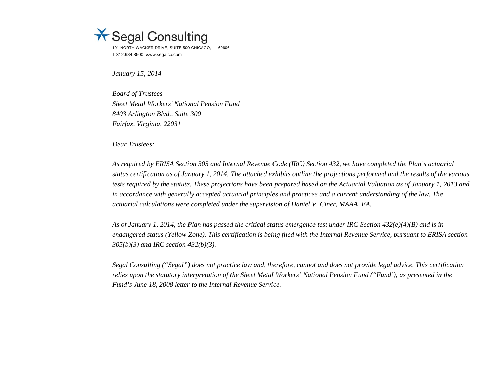

*January 15, 2014* 

*Board of Trustees Sheet Metal Workers' National Pension Fund 8403 Arlington Blvd., Suite 300 Fairfax, Virginia, 22031* 

*Dear Trustees:* 

*As required by ERISA Section 305 and Internal Revenue Code (IRC) Section 432, we have completed the Plan's actuarial status certification as of January 1, 2014. The attached exhibits outline the projections performed and the results of the various tests required by the statute. These projections have been prepared based on the Actuarial Valuation as of January 1, 2013 and*  in accordance with generally accepted actuarial principles and practices and a current understanding of the law. The *actuarial calculations were completed under the supervision of Daniel V. Ciner, MAAA, EA.* 

*As of January 1, 2014, the Plan has passed the critical status emergence test under IRC Section 432(e)(4)(B) and is in endangered status (Yellow Zone). This certification is being filed with the Internal Revenue Service, pursuant to ERISA section 305(b)(3) and IRC section 432(b)(3).* 

*Segal Consulting ("Segal") does not practice law and, therefore, cannot and does not provide legal advice. This certification relies upon the statutory interpretation of the Sheet Metal Workers' National Pension Fund ("Fund'), as presented in the Fund's June 18, 2008 letter to the Internal Revenue Service.*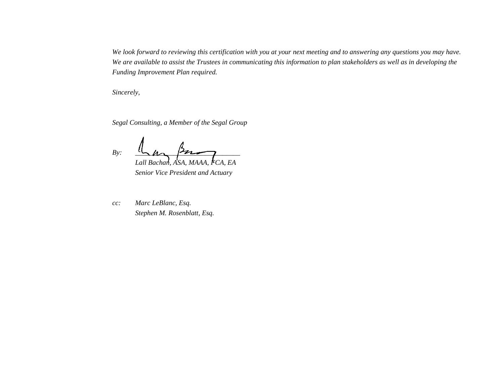*We look forward to reviewing this certification with you at your next meeting and to answering any questions you may have. We are available to assist the Trustees in communicating this information to plan stakeholders as well as in developing the Funding Improvement Plan required.* 

*Sincerely,* 

*Segal Consulting, a Member of the Segal Group* 

 $B$ y: <u>In pos</u>  *Lall Bachan, ASA, MAAA, FCA, EA* 

 *Senior Vice President and Actuary* 

*cc: Marc LeBlanc, Esq. Stephen M. Rosenblatt, Esq.*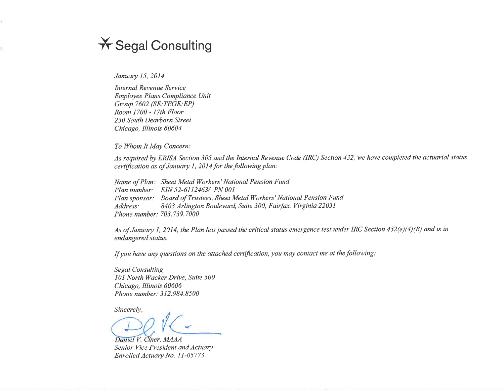# **X** Segal Consulting

January 15, 2014

**Internal Revenue Service** Employee Plans Compliance Unit Group 7602 (SE: TEGE: EP) Room 1700 - 17th Floor 230 South Dearborn Street Chicago, Illinois 60604

To Whom It May Concern:

As required by ERISA Section 305 and the Internal Revenue Code (IRC) Section 432, we have completed the actuarial status certification as of January 1, 2014 for the following plan:

Name of Plan: Sheet Metal Workers' National Pension Fund Plan number: EIN 52-6112463/ PN 001 Plan sponsor: Board of Trustees, Sheet Metal Workers' National Pension Fund 8403 Arlington Boulevard, Suite 300, Fairfax, Virginia 22031 Address: Phone number: 703.739.7000

As of January 1, 2014, the Plan has passed the critical status emergence test under IRC Section 432(e)(4)(B) and is in endangered status.

If you have any questions on the attached certification, you may contact me at the following:

**Segal Consulting** 101 North Wacker Drive, Suite 500 Chicago, Illinois 60606 Phone number: 312.984.8500

Sincerely,

Daniel V. Ciner, MAAA Senior Vice President and Actuary Enrolled Actuary No. 11-05773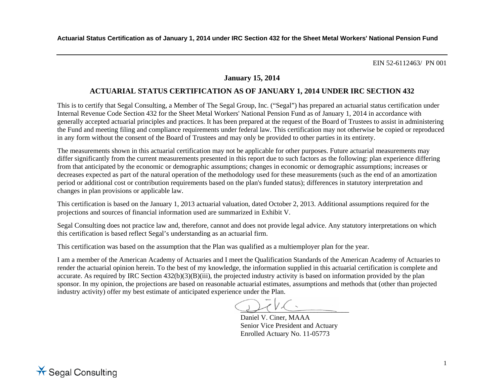# **January 15, 2014**

# **ACTUARIAL STATUS CERTIFICATION AS OF JANUARY 1, 2014 UNDER IRC SECTION 432**

This is to certify that Segal Consulting, a Member of The Segal Group, Inc. ("Segal") has prepared an actuarial status certification under Internal Revenue Code Section 432 for the Sheet Metal Workers' National Pension Fund as of January 1, 2014 in accordance with generally accepted actuarial principles and practices. It has been prepared at the request of the Board of Trustees to assist in administering the Fund and meeting filing and compliance requirements under federal law. This certification may not otherwise be copied or reproduced in any form without the consent of the Board of Trustees and may only be provided to other parties in its entirety.

The measurements shown in this actuarial certification may not be applicable for other purposes. Future actuarial measurements may differ significantly from the current measurements presented in this report due to such factors as the following: plan experience differing from that anticipated by the economic or demographic assumptions; changes in economic or demographic assumptions; increases or decreases expected as part of the natural operation of the methodology used for these measurements (such as the end of an amortization period or additional cost or contribution requirements based on the plan's funded status); differences in statutory interpretation and changes in plan provisions or applicable law.

This certification is based on the January 1, 2013 actuarial valuation, dated October 2, 2013. Additional assumptions required for the projections and sources of financial information used are summarized in Exhibit V.

Segal Consulting does not practice law and, therefore, cannot and does not provide legal advice. Any statutory interpretations on which this certification is based reflect Segal's understanding as an actuarial firm.

This certification was based on the assumption that the Plan was qualified as a multiemployer plan for the year.

I am a member of the American Academy of Actuaries and I meet the Qualification Standards of the American Academy of Actuaries to render the actuarial opinion herein. To the best of my knowledge, the information supplied in this actuarial certification is complete and accurate. As required by IRC Section 432(b)(3)(B)(iii), the projected industry activity is based on information provided by the plan sponsor. In my opinion, the projections are based on reasonable actuarial estimates, assumptions and methods that (other than projected industry activity) offer my best estimate of anticipated experience under the Plan.

\_\_\_\_\_\_\_\_\_\_\_\_\_\_\_\_\_\_\_\_\_\_\_\_\_\_\_\_\_\_\_

Daniel V. Ciner, MAAA Senior Vice President and Actuary Enrolled Actuary No. 11-05773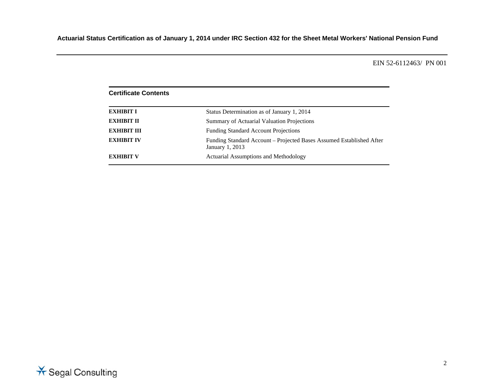| <b>Certificate Contents</b> |                                                                                         |
|-----------------------------|-----------------------------------------------------------------------------------------|
| <b>EXHIBIT I</b>            | Status Determination as of January 1, 2014                                              |
| <b>EXHIBIT II</b>           | Summary of Actuarial Valuation Projections                                              |
| <b>EXHIBIT III</b>          | <b>Funding Standard Account Projections</b>                                             |
| <b>EXHIBIT IV</b>           | Funding Standard Account – Projected Bases Assumed Established After<br>January 1, 2013 |
| <b>EXHIBIT V</b>            | Actuarial Assumptions and Methodology                                                   |

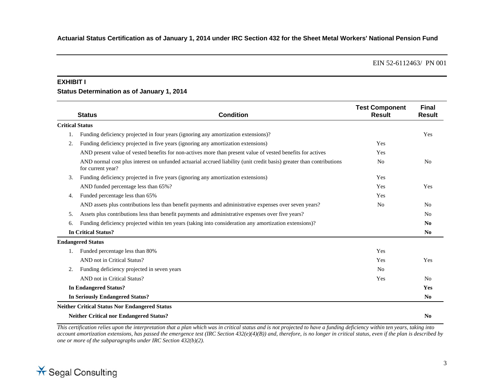#### **EXHIBIT I**

# **Status Determination as of January 1, 2014**

|    | <b>Status</b>                                                                      | <b>Condition</b>                                                                                                     | <b>Test Component</b><br><b>Result</b> | <b>Final</b><br><b>Result</b> |
|----|------------------------------------------------------------------------------------|----------------------------------------------------------------------------------------------------------------------|----------------------------------------|-------------------------------|
|    | <b>Critical Status</b>                                                             |                                                                                                                      |                                        |                               |
| 1. | Funding deficiency projected in four years (ignoring any amortization extensions)? |                                                                                                                      |                                        | Yes                           |
| 2. | Funding deficiency projected in five years (ignoring any amortization extensions)  |                                                                                                                      | Yes                                    |                               |
|    |                                                                                    | AND present value of vested benefits for non-actives more than present value of vested benefits for actives          | Yes                                    |                               |
|    | for current year?                                                                  | AND normal cost plus interest on unfunded actuarial accrued liability (unit credit basis) greater than contributions | N <sub>0</sub>                         | N <sub>0</sub>                |
| 3. | Funding deficiency projected in five years (ignoring any amortization extensions)  |                                                                                                                      | Yes                                    |                               |
|    | AND funded percentage less than 65%?                                               |                                                                                                                      | Yes                                    | Yes                           |
| 4. | Funded percentage less than 65%                                                    |                                                                                                                      | Yes                                    |                               |
|    |                                                                                    | AND assets plus contributions less than benefit payments and administrative expenses over seven years?               | N <sub>0</sub>                         | N <sub>0</sub>                |
| 5. |                                                                                    | Assets plus contributions less than benefit payments and administrative expenses over five years?                    |                                        | No                            |
| 6. |                                                                                    | Funding deficiency projected within ten years (taking into consideration any amortization extensions)?               |                                        | $\mathbf{N}\mathbf{0}$        |
|    | <b>In Critical Status?</b>                                                         |                                                                                                                      |                                        | N <sub>0</sub>                |
|    | <b>Endangered Status</b>                                                           |                                                                                                                      |                                        |                               |
| 1. | Funded percentage less than 80%                                                    |                                                                                                                      | Yes                                    |                               |
|    | AND not in Critical Status?                                                        |                                                                                                                      | Yes                                    | Yes                           |
| 2. | Funding deficiency projected in seven years                                        |                                                                                                                      | N <sub>0</sub>                         |                               |
|    | AND not in Critical Status?                                                        |                                                                                                                      | Yes                                    | N <sub>0</sub>                |
|    | <b>In Endangered Status?</b>                                                       |                                                                                                                      |                                        | Yes                           |
|    | <b>In Seriously Endangered Status?</b>                                             |                                                                                                                      |                                        | No                            |
|    | <b>Neither Critical Status Nor Endangered Status</b>                               |                                                                                                                      |                                        |                               |
|    | <b>Neither Critical nor Endangered Status?</b>                                     |                                                                                                                      |                                        | N <sub>0</sub>                |

*This certification relies upon the interpretation that a plan which was in critical status and is not projected to have a funding deficiency within ten years, taking into account amortization extensions, has passed the emergence test (IRC Section 432(e)(4)(B)) and, therefore, is no longer in critical status, even if the plan is described by one or more of the subparagraphs under IRC Section 432(b)(2).* 

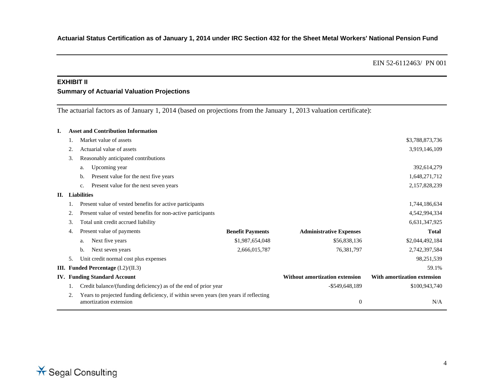# **EXHIBIT II Summary of Actuarial Valuation Projections**

The actuarial factors as of January 1, 2014 (based on projections from the January 1, 2013 valuation certificate):

| I. |    | <b>Asset and Contribution Information</b>                                                                       |                         |                                       |                             |
|----|----|-----------------------------------------------------------------------------------------------------------------|-------------------------|---------------------------------------|-----------------------------|
|    |    | Market value of assets                                                                                          |                         |                                       | \$3,788,873,736             |
|    |    | Actuarial value of assets                                                                                       |                         |                                       | 3,919,146,109               |
|    | 3. | Reasonably anticipated contributions                                                                            |                         |                                       |                             |
|    |    | Upcoming year<br>a.                                                                                             |                         |                                       | 392,614,279                 |
|    |    | Present value for the next five years<br>b.                                                                     |                         |                                       | 1,648,271,712               |
|    |    | Present value for the next seven years<br>c.                                                                    |                         |                                       | 2,157,828,239               |
| П. |    | <b>Liabilities</b>                                                                                              |                         |                                       |                             |
|    |    | Present value of vested benefits for active participants                                                        |                         |                                       | 1,744,186,634               |
|    |    | Present value of vested benefits for non-active participants                                                    |                         |                                       | 4,542,994,334               |
|    | 3. | Total unit credit accrued liability                                                                             |                         |                                       | 6,631,347,925               |
|    | 4. | Present value of payments                                                                                       | <b>Benefit Payments</b> | <b>Administrative Expenses</b>        | <b>Total</b>                |
|    |    | Next five years<br>a.                                                                                           | \$1,987,654,048         | \$56,838,136                          | \$2,044,492,184             |
|    |    | Next seven years<br>b.                                                                                          | 2,666,015,787           | 76,381,797                            | 2,742,397,584               |
|    | 5. | Unit credit normal cost plus expenses                                                                           |                         |                                       | 98,251,539                  |
| Ш. |    | <b>Funded Percentage</b> $(I.2)/(II.3)$                                                                         |                         |                                       | 59.1%                       |
|    |    | <b>IV.</b> Funding Standard Account                                                                             |                         | <b>Without amortization extension</b> | With amortization extension |
|    |    | Credit balance/(funding deficiency) as of the end of prior year                                                 |                         | $-$ \$549,648,189                     | \$100,943,740               |
|    | 2. | Years to projected funding deficiency, if within seven years (ten years if reflecting<br>amortization extension |                         | $\boldsymbol{0}$                      | N/A                         |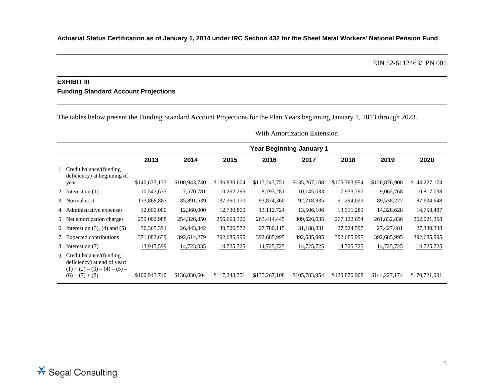# **EXHIBIT III Funding Standard Account Projections**

The tables below present the Funding Standard Account Projections for the Plan Years beginning January 1, 2013 through 2023.

|  |  | With Amortization Extension |  |
|--|--|-----------------------------|--|
|  |  |                             |  |

|                                                                                                                    |               | <b>Year Beginning January 1</b> |               |               |               |               |               |               |
|--------------------------------------------------------------------------------------------------------------------|---------------|---------------------------------|---------------|---------------|---------------|---------------|---------------|---------------|
|                                                                                                                    | 2013          | 2014                            | 2015          | 2016          | 2017          | 2018          | 2019          | 2020          |
| 1. Credit balance/(funding)<br>deficiency) at beginning of                                                         | \$140,635,133 | \$100,943,740                   | \$136,830,604 | \$117,243,751 | \$135,267,108 | \$105,783,954 | \$120,876,908 | \$144,227,174 |
| year                                                                                                               |               |                                 |               |               |               |               |               |               |
| 2. Interest on $(1)$                                                                                               | 10,547,635    | 7,570,781                       | 10,262,295    | 8,793,281     | 10,145,033    | 7,933,797     | 9,065,768     | 10,817,038    |
| 3. Normal cost                                                                                                     | 133,868,887   | 85,891,539                      | 137, 360, 170 | 93,874,360    | 92,718,935    | 91,294,023    | 89,538,277    | 87,624,648    |
| 4. Administrative expenses                                                                                         | 12,000,000    | 12,360,000                      | 12,730,800    | 13, 112, 724  | 13,506,106    | 13,911,289    | 14,328,628    | 14,758,487    |
| 5. Net amortization charges                                                                                        | 259,002,988   | 254,326,350                     | 256,663,326   | 263,414,445   | 309,626,035   | 267, 122, 654 | 261,832,836   | 262,021,368   |
| 6. Interest on $(3)$ , $(4)$ and $(5)$                                                                             | 30, 365, 391  | 26,443,342                      | 30,506,572    | 27,780,115    | 31,188,831    | 27,924,597    | 27,427,481    | 27,330,338    |
| 7. Expected contributions                                                                                          | 371,082,639   | 392,614,279                     | 392,685,995   | 392,685,995   | 392,685,995   | 392,685,995   | 392,685,995   | 392,685,995   |
| 8. Interest on (7)                                                                                                 | 13,915,599    | 14,723,035                      | 14,725,725    | 14,725,725    | 14,725,725    | 14,725,725    | 14,725,725    | 14,725,725    |
| 9. Credit balance/(funding)<br>deficiency) at end of year:<br>$(1) + (2) - (3) - (4) - (5) -$<br>$(6) + (7) + (8)$ | \$100,943,740 | \$136,830,604                   | \$117,243,751 | \$135,267,108 | \$105,783,954 | \$120,876,908 | \$144,227,174 | \$170,721,091 |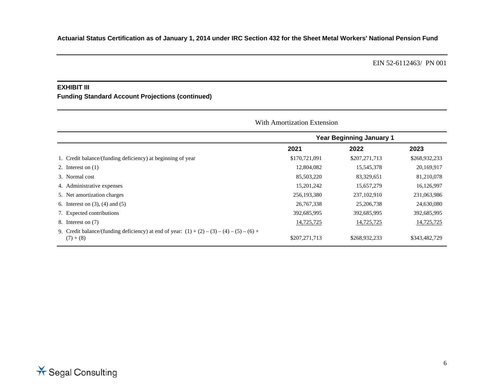#### **EXHIBIT III**

**Funding Standard Account Projections (continued)** 

|                                                                                                             |               | <b>Year Beginning January 1</b> |               |
|-------------------------------------------------------------------------------------------------------------|---------------|---------------------------------|---------------|
|                                                                                                             | 2021          | 2022                            | 2023          |
| 1. Credit balance/(funding deficiency) at beginning of year                                                 | \$170,721,091 | \$207,271,713                   | \$268,932,233 |
| 2. Interest on $(1)$                                                                                        | 12,804,082    | 15,545,378                      | 20,169,917    |
| 3. Normal cost                                                                                              | 85,503,220    | 83,329,651                      | 81,210,078    |
| 4. Administrative expenses                                                                                  | 15,201,242    | 15,657,279                      | 16,126,997    |
| 5. Net amortization charges                                                                                 | 256,193,380   | 237, 102, 910                   | 231,063,986   |
| 6. Interest on $(3)$ , $(4)$ and $(5)$                                                                      | 26,767,338    | 25,206,738                      | 24,630,080    |
| 7. Expected contributions                                                                                   | 392,685,995   | 392,685,995                     | 392,685,995   |
| 8. Interest on (7)                                                                                          | 14,725,725    | 14,725,725                      | 14,725,725    |
| 9. Credit balance/(funding deficiency) at end of year: $(1) + (2) - (3) - (4) - (5) - (6) +$<br>$(7) + (8)$ | \$207,271,713 | \$268,932,233                   | \$343,482,729 |

### **Extension** Extension Extension Extension

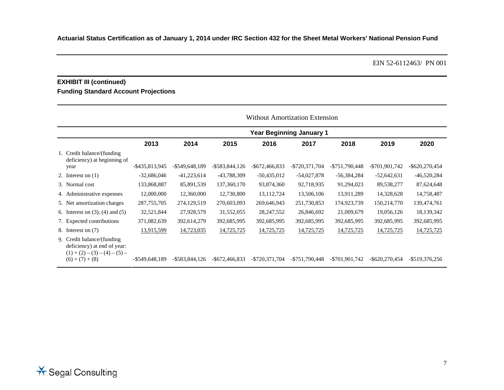# **EXHIBIT III (continued) Funding Standard Account Projections**

|                                                                                                                    |                | <b>Year Beginning January 1</b> |                   |                   |                   |                   |                   |                   |
|--------------------------------------------------------------------------------------------------------------------|----------------|---------------------------------|-------------------|-------------------|-------------------|-------------------|-------------------|-------------------|
|                                                                                                                    | 2013           | 2014                            | 2015              | 2016              | 2017              | 2018              | 2019              | 2020              |
| 1. Credit balance/(funding<br>deficiency) at beginning of                                                          |                |                                 |                   |                   |                   |                   |                   |                   |
| year                                                                                                               | -\$435,813,945 | $-$ \$549,648,189               | $-$ \$583,844,126 | $-$ \$672,466,833 | $-$ \$720,371,704 | -\$751,790,448    | $-$ \$701,901,742 | $-$ \$620,270,454 |
| 2. Interest on $(1)$                                                                                               | $-32,686,046$  | $-41,223,614$                   | -43,788,309       | $-50,435,012$     | $-54,027,878$     | $-56,384,284$     | $-52,642,631$     | $-46,520,284$     |
| 3. Normal cost                                                                                                     | 133,868,887    | 85,891,539                      | 137, 360, 170     | 93,874,360        | 92,718,935        | 91,294,023        | 89,538,277        | 87,624,648        |
| 4. Administrative expenses                                                                                         | 12,000,000     | 12,360,000                      | 12,730,800        | 13,112,724        | 13,506,106        | 13,911,289        | 14,328,628        | 14,758,487        |
| 5. Net amortization charges                                                                                        | 287, 755, 705  | 274,129,519                     | 270,603,093       | 269,646,943       | 251,730,853       | 174,923,739       | 150,214,770       | 139,474,761       |
| 6. Interest on $(3)$ , $(4)$ and $(5)$                                                                             | 32,521,844     | 27,928,579                      | 31,552,055        | 28, 247, 552      | 26,846,692        | 21,009,679        | 19,056,126        | 18,139,342        |
| 7. Expected contributions                                                                                          | 371,082,639    | 392,614,279                     | 392,685,995       | 392,685,995       | 392,685,995       | 392,685,995       | 392,685,995       | 392,685,995       |
| 8. Interest on (7)                                                                                                 | 13,915,599     | 14,723,035                      | 14,725,725        | 14,725,725        | 14,725,725        | 14,725,725        | 14,725,725        | 14,725,725        |
| 9. Credit balance/(funding)<br>deficiency) at end of year:<br>$(1) + (2) - (3) - (4) - (5) -$<br>$(6) + (7) + (8)$ | -\$549,648,189 | $-$ \$583,844,126               | $-$ \$672,466,833 | $-$ \$720,371,704 | $-$ \$751,790,448 | $-$ \$701.901.742 | $-$ \$620,270,454 | -\$519,376,256    |

# Without Amortization Extension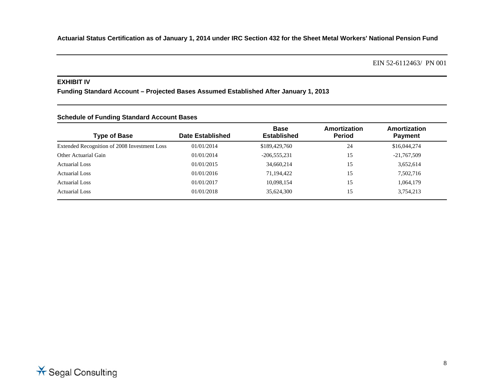**Actuarial Status Certification as of January 1, 2014 under IRC Section 432 for the Sheet Metal Workers' National Pension Fund** 

EIN 52-6112463/ PN 001

#### **EXHIBIT IV**

**Funding Standard Account – Projected Bases Assumed Established After January 1, 2013** 

| <b>Schedule of Funding Standard Account Bases</b> |  |  |  |  |
|---------------------------------------------------|--|--|--|--|
|---------------------------------------------------|--|--|--|--|

| <b>Type of Base</b>                          | Date Established | <b>Base</b><br><b>Established</b> | Amortization<br><b>Period</b> | Amortization<br><b>Payment</b> |
|----------------------------------------------|------------------|-----------------------------------|-------------------------------|--------------------------------|
| Extended Recognition of 2008 Investment Loss | 01/01/2014       | \$189,429,760                     | 24                            | \$16,044,274                   |
| Other Actuarial Gain                         | 01/01/2014       | $-206,555,231$                    | 15                            | $-21,767,509$                  |
| <b>Actuarial Loss</b>                        | 01/01/2015       | 34,660,214                        | 15                            | 3,652,614                      |
| <b>Actuarial Loss</b>                        | 01/01/2016       | 71,194,422                        | 15                            | 7,502,716                      |
| <b>Actuarial Loss</b>                        | 01/01/2017       | 10,098,154                        | 15                            | 1,064,179                      |
| Actuarial Loss                               | 01/01/2018       | 35,624,300                        | 15                            | 3,754,213                      |

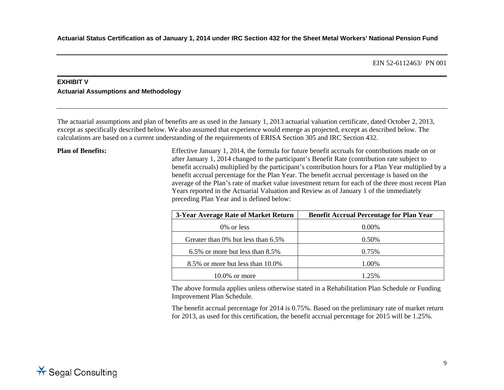# **EXHIBIT V Actuarial Assumptions and Methodology**

The actuarial assumptions and plan of benefits are as used in the January 1, 2013 actuarial valuation certificate, dated October 2, 2013, except as specifically described below. We also assumed that experience would emerge as projected, except as described below. The calculations are based on a current understanding of the requirements of ERISA Section 305 and IRC Section 432.

**Plan of Benefits:** Effective January 1, 2014, the formula for future benefit accruals for contributions made on or after January 1, 2014 changed to the participant's Benefit Rate (contribution rate subject to benefit accruals) multiplied by the participant's contribution hours for a Plan Year multiplied by a benefit accrual percentage for the Plan Year. The benefit accrual percentage is based on the average of the Plan's rate of market value investment return for each of the three most recent Plan Years reported in the Actuarial Valuation and Review as of January 1 of the immediately preceding Plan Year and is defined below:

| 3-Year Average Rate of Market Return  | <b>Benefit Accrual Percentage for Plan Year</b> |
|---------------------------------------|-------------------------------------------------|
| 0\% or less                           | $0.00\%$                                        |
| Greater than 0% but less than 6.5%    | 0.50%                                           |
| $6.5\%$ or more but less than $8.5\%$ | 0.75%                                           |
| 8.5% or more but less than 10.0%      | 1.00%                                           |
| $10.0\%$ or more                      | 1 25%                                           |

 The above formula applies unless otherwise stated in a Rehabilitation Plan Schedule or Funding Improvement Plan Schedule.

The benefit accrual percentage for 2014 is 0.75%. Based on the preliminary rate of market return for 2013, as used for this certification, the benefit accrual percentage for 2015 will be 1.25%.

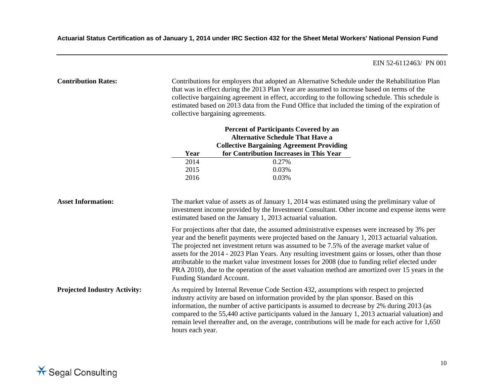| <b>Contribution Rates:</b>          |                                                                                                                                                                                                                                                              | Contributions for employers that adopted an Alternative Schedule under the Rehabilitation Plan<br>that was in effect during the 2013 Plan Year are assumed to increase based on terms of the<br>collective bargaining agreement in effect, according to the following schedule. This schedule is<br>estimated based on 2013 data from the Fund Office that included the timing of the expiration of<br>collective bargaining agreements.                                                                                                                                                                                               |  |
|-------------------------------------|--------------------------------------------------------------------------------------------------------------------------------------------------------------------------------------------------------------------------------------------------------------|----------------------------------------------------------------------------------------------------------------------------------------------------------------------------------------------------------------------------------------------------------------------------------------------------------------------------------------------------------------------------------------------------------------------------------------------------------------------------------------------------------------------------------------------------------------------------------------------------------------------------------------|--|
|                                     |                                                                                                                                                                                                                                                              | <b>Percent of Participants Covered by an</b>                                                                                                                                                                                                                                                                                                                                                                                                                                                                                                                                                                                           |  |
|                                     |                                                                                                                                                                                                                                                              | <b>Alternative Schedule That Have a</b>                                                                                                                                                                                                                                                                                                                                                                                                                                                                                                                                                                                                |  |
|                                     |                                                                                                                                                                                                                                                              | <b>Collective Bargaining Agreement Providing</b>                                                                                                                                                                                                                                                                                                                                                                                                                                                                                                                                                                                       |  |
|                                     | Year                                                                                                                                                                                                                                                         | for Contribution Increases in This Year                                                                                                                                                                                                                                                                                                                                                                                                                                                                                                                                                                                                |  |
|                                     | 2014                                                                                                                                                                                                                                                         | 0.27%                                                                                                                                                                                                                                                                                                                                                                                                                                                                                                                                                                                                                                  |  |
|                                     | 2015<br>2016                                                                                                                                                                                                                                                 | 0.03%<br>0.03%                                                                                                                                                                                                                                                                                                                                                                                                                                                                                                                                                                                                                         |  |
| <b>Asset Information:</b>           | The market value of assets as of January 1, 2014 was estimated using the preliminary value of<br>investment income provided by the Investment Consultant. Other income and expense items were<br>estimated based on the January 1, 2013 actuarial valuation. |                                                                                                                                                                                                                                                                                                                                                                                                                                                                                                                                                                                                                                        |  |
|                                     |                                                                                                                                                                                                                                                              | For projections after that date, the assumed administrative expenses were increased by 3% per<br>year and the benefit payments were projected based on the January 1, 2013 actuarial valuation.<br>The projected net investment return was assumed to be 7.5% of the average market value of<br>assets for the 2014 - 2023 Plan Years. Any resulting investment gains or losses, other than those<br>attributable to the market value investment losses for 2008 (due to funding relief elected under<br>PRA 2010), due to the operation of the asset valuation method are amortized over 15 years in the<br>Funding Standard Account. |  |
| <b>Projected Industry Activity:</b> | hours each year.                                                                                                                                                                                                                                             | As required by Internal Revenue Code Section 432, assumptions with respect to projected<br>industry activity are based on information provided by the plan sponsor. Based on this<br>information, the number of active participants is assumed to decrease by 2% during 2013 (as<br>compared to the 55,440 active participants valued in the January 1, 2013 actuarial valuation) and<br>remain level thereafter and, on the average, contributions will be made for each active for 1,650                                                                                                                                             |  |